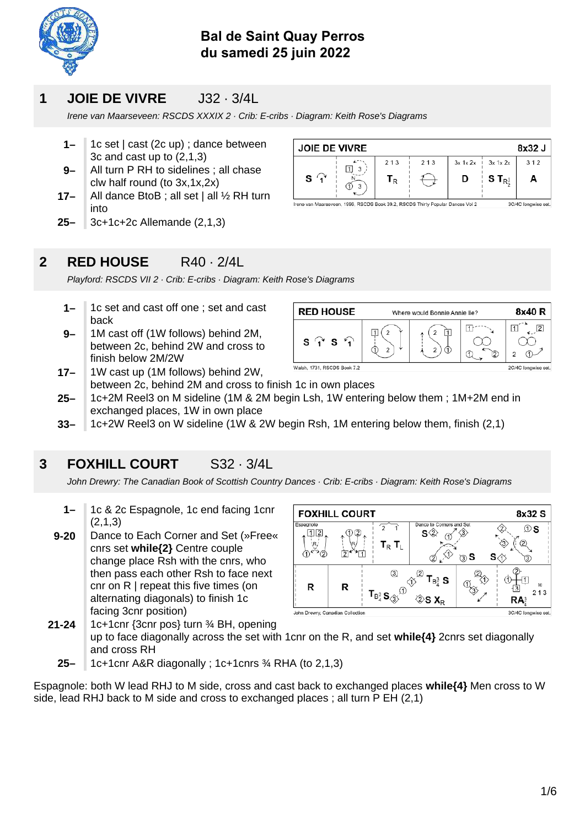

### **Bal de Saint Quay Perros du samedi 25 juin 2022**

### **1 JOIE DE VIVRE** J32 · 3/4L

Irene van Maarseveen: RSCDS XXXIX 2 · Crib: E-cribs · Diagram: Keith Rose's Diagrams

- **1–** 1c set | cast (2c up) ; dance between 3c and cast up to (2,1,3)
- **9–** All turn P RH to sidelines ; all chase clw half round (to 3x,1x,2x)
- **17–** All dance BtoB; all set  $|$  all  $\frac{1}{2}$  RH turn into
- **25–** 3c+1c+2c Allemande (2,1,3)

### **2 RED HOUSE** R40 · 2/4L

Playford: RSCDS VII 2 · Crib: E-cribs · Diagram: Keith Rose's Diagrams

- **1–** 1c set and cast off one ; set and cast back
- **17– 9–** 1M cast off (1W follows) behind 2M, between 2c, behind 2W and cross to finish below 2M/2W
	- Walsh, 1731, RSCDS Book 7.2 1W cast up (1M follows) behind 2W, between 2c, behind 2M and cross to finish 1c in own places
- **25–** 1c+2M Reel3 on M sideline (1M & 2M begin Lsh, 1W entering below them ; 1M+2M end in exchanged places, 1W in own place
- **33–** 1c+2W Reel3 on W sideline (1W & 2W begin Rsh, 1M entering below them, finish (2,1)

### **3 FOXHILL COURT** S32 · 3/4L

John Drewry: The Canadian Book of Scottish Country Dances · Crib: E-cribs · Diagram: Keith Rose's Diagrams

- **1–** 1c & 2c Espagnole, 1c end facing 1cnr (2,1,3)
- **9-20** Dance to Each Corner and Set (»Free« cnrs set while<sup>{2}</sup> Centre couple change place Rsh with the cnrs, who then pass each other Rsh to face next cnr on R | repeat this five times (on alternating diagonals) to finish 1c facing 3cnr position)

| <b>FOXHILL COURT</b> |                |                                                                                        |                             | 8x32 S |                 |
|----------------------|----------------|----------------------------------------------------------------------------------------|-----------------------------|--------|-----------------|
| Espagnole            | $\overline{2}$ | $\mathbf{T}_\mathsf{R}$ $\mathbf{T}_\mathsf{L}$                                        | Dance to Corners and Set    | ಾ S    | D S<br>З)       |
| R                    | R              | ③<br>$\mathsf{T}_{\mathsf{B}^3_4} \mathbf{S}_{\hat{\mathcal{Q}}^{\check{\mathsf{Y}}}}$ | T <sub>B</sub> s<br>$S X_R$ |        | to<br>213<br>RA |

**21-24** 1c+1cnr {3cnr pos} turn ¾ BH, opening up to face diagonally across the set with 1cnr on the R, and set while (4) 2cnrs set diagonally and cross RH

**25–** 1c+1cnr A&R diagonally ; 1c+1cnrs ¾ RHA (to 2,1,3)

Espagnole: both W lead RHJ to M side, cross and cast back to exchanged places while<sup>{4}</sup> Men cross to W side, lead RHJ back to M side and cross to exchanged places ; all turn P EH (2,1)



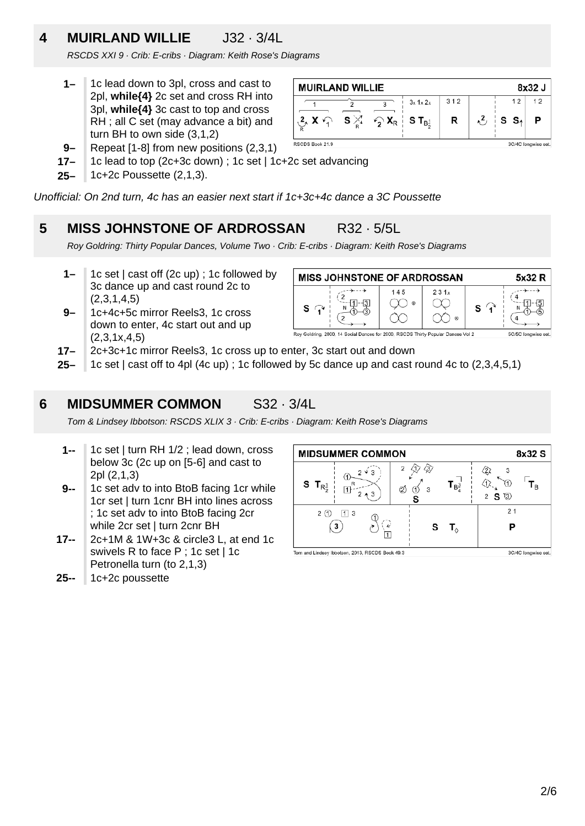# **4 MUIRLAND WILLIE** J32 · 3/4L

RSCDS XXI 9 · Crib: E-cribs · Diagram: Keith Rose's Diagrams

- **1–** 1c lead down to 3pl, cross and cast to 2pl, while<sup>{4}</sup> 2c set and cross RH into 3pl, while {4} 3c cast to top and cross RH ; all C set (may advance a bit) and turn BH to own side (3,1,2)
- **9–** Repeat [1-8] from new positions (2,3,1)
- **17–** 1c lead to top (2c+3c down) ; 1c set | 1c+2c set advancing
- **25–** 1c+2c Poussette (2,1,3).

Unofficial: On 2nd turn, 4c has an easier next start if 1c+3c+4c dance a 3C Poussette

### **5 MISS JOHNSTONE OF ARDROSSAN R32 · 5/5L**

Roy Goldring: Thirty Popular Dances, Volume Two · Crib: E-cribs · Diagram: Keith Rose's Diagrams

- **1–** 1c set | cast off (2c up) ; 1c followed by 3c dance up and cast round 2c to  $(2,3,1,4,5)$
- **9–** 1c+4c+5c mirror Reels3, 1c cross down to enter, 4c start out and up  $(2,3,1x,4,5)$
- **MISS JOHNSTONE OF ARDROSSAN** 5x32 R 145  $231x$ 6 ΄4  $1 - 3$  $\infty$  . œ  $\mathbf{s} \mathrel{\widehat{\mathsf{A}}}$  $S$ N N M ೧೧ ∘ Roy Goldring, 2000, 14 Social Dances for 2000, RSCDS Thirty Popular Dances Vol 2 5C/5C longwise set.
- **17–** 2c+3c+1c mirror Reels3, 1c cross up to enter, 3c start out and down
- **25–** 1c set | cast off to 4pl (4c up) ; 1c followed by 5c dance up and cast round 4c to (2,3,4,5,1)

### **6 MIDSUMMER COMMON** S32 · 3/4L

Tom & Lindsey Ibbotson: RSCDS XLIX 3 · Crib: E-cribs · Diagram: Keith Rose's Diagrams

- **1--** 1c set | turn RH 1/2 ; lead down, cross below 3c (2c up on [5-6] and cast to 2pl (2,1,3)
- **9--** 1c set adv to into BtoB facing 1cr while 1cr set | turn 1cnr BH into lines across ; 1c set adv to into BtoB facing 2cr while 2cr set | turn 2cnr BH
- **17--** 2c+1M & 1W+3c & circle3 L, at end 1c swivels R to face P ; 1c set | 1c Petronella turn (to 2,1,3)
- **25--** 1c+2c poussette

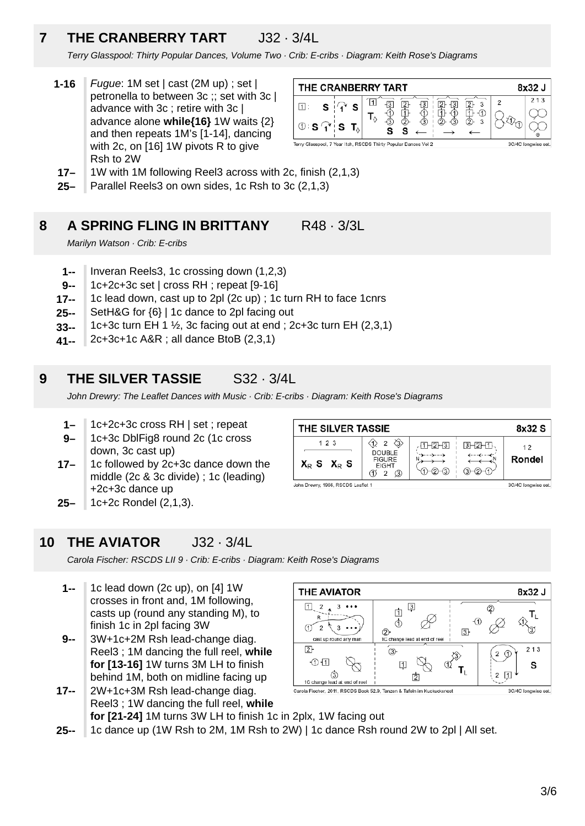# **7 THE CRANBERRY TART** J32 · 3/4L

Terry Glasspool: Thirty Popular Dances, Volume Two · Crib: E-cribs · Diagram: Keith Rose's Diagrams

**1-16** Fugue: 1M set | cast (2M up) ; set | petronella to between 3c ;; set with 3c | advance with 3c ; retire with 3c | advance alone while{16} 1W waits {2} and then repeats 1M's [1-14], dancing with 2c, on [16] 1W pivots R to give Rsh to 2W



- **17–** 1W with 1M following Reel3 across with 2c, finish (2,1,3)
- **25–** Parallel Reels3 on own sides, 1c Rsh to 3c (2,1,3)

#### **8 A SPRING FLING IN BRITTANY** R48 · 3/3L

Marilyn Watson · Crib: E-cribs

- **1--** Inveran Reels3, 1c crossing down (1,2,3)
- **9--** 1c+2c+3c set | cross RH ; repeat [9-16]
- **17--** 1c lead down, cast up to 2pl (2c up) ; 1c turn RH to face 1cnrs
- **25--** SetH&G for {6} | 1c dance to 2pl facing out
- **33--** 1c+3c turn EH 1  $\frac{1}{2}$ , 3c facing out at end ; 2c+3c turn EH (2,3,1)
- **41--** 2c+3c+1c A&R ; all dance BtoB (2,3,1)

### **9 THE SILVER TASSIE** S32 · 3/4L

John Drewry: The Leaflet Dances with Music · Crib: E-cribs · Diagram: Keith Rose's Diagrams

- **1–** 1c+2c+3c cross RH | set ; repeat
- **9–** 1c+3c DblFig8 round 2c (1c cross down, 3c cast up)
- **17–** 1c followed by 2c+3c dance down the middle (2c & 3c divide) ; 1c (leading) +2c+3c dance up
- **25–** 1c+2c Rondel (2,1,3).

### **10 THE AVIATOR** J32 · 3/4L

Carola Fischer: RSCDS LII 9 · Crib: E-cribs · Diagram: Keith Rose's Diagrams

- **1--** 1c lead down (2c up), on [4] 1W crosses in front and, 1M following, casts up (round any standing M), to finish 1c in 2pl facing 3W
- **17-- 9--** 3W+1c+2M Rsh lead-change diag. Reel3 ; 1M dancing the full reel, **while for [13-16]** 1W turns 3M LH to finish behind 1M, both on midline facing up
	- ග 囟 1C change le d at end of ree 2W+1c+3M Rsh lead-change diag. Carola Fischer, 2011, RSCDS Book 52.9, Tanzen & Tafeln im Kuckucksnest Reel3 ; 1W dancing the full reel, **while for [21-24]** 1M turns 3W LH to finish 1c in 2plx, 1W facing out
- **25--** 1c dance up (1W Rsh to 2M, 1M Rsh to 2W) | 1c dance Rsh round 2W to 2pl | All set.

| THE SILVER TASSIE                |                                                                                   |                                                        |         | 8x32 S                          |
|----------------------------------|-----------------------------------------------------------------------------------|--------------------------------------------------------|---------|---------------------------------|
| 123<br>$X_{R}$ S $X_{R}$ S       | $\langle 3 \rangle$<br>2<br><b>DOUBLE</b><br><b>FIGURE</b><br><b>EIGHT</b><br>(3) | $.4$ T $\vdash$ 12 $\vdash$ 131<br>G.<br>$\rightarrow$ | 同⊢2⊢11. | 12<br>Rondel                    |
| John Brown: 4000 DOADO Looflot 4 |                                                                                   |                                                        |         | <b>SOURCE Longitude of ALSO</b> |

 $\overline{3}$ 

由

 $\Phi$ 

[1]

 $^{\circledR}$ 

 $\left(3\right)$ 

**THE AVIATOR** 

cast up round any r

 $3 \cdot \cdot \cdot$ 

 $\frac{2}{4}$ 

 $\Box$ 

 $\subset$  $\overline{2}$  $\overline{3}$ 

 $\overline{2}$ 

 $\overline{0}$  $\overline{1}$ 

8x32 J

T<sub>L</sub>

গ্ৰ

213

S

3C/4C longwise set.

 $\circled{2}$ 

 $2 \oplus$ 

 $2 \boxed{1}$ 

⊕

 $\sqrt{3}$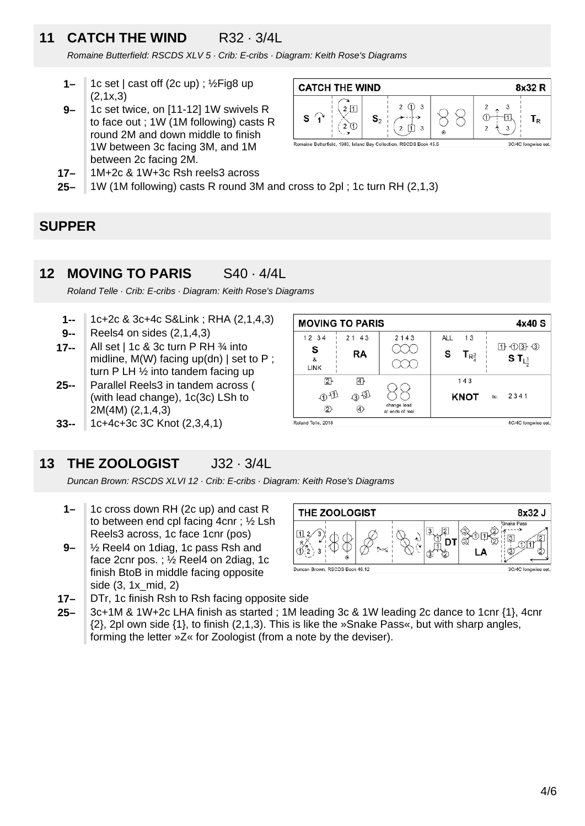### **11 CATCH THE WIND** R32 · 3/4L

Romaine Butterfield: RSCDS XLV 5 · Crib: E-cribs · Diagram: Keith Rose's Diagrams

- **1–** 1c set | cast off (2c up) ; ½Fig8 up  $(2,1x,3)$
- **9–** 1c set twice, on [11-12] 1W swivels R to face out ; 1W (1M following) casts R round 2M and down middle to finish 1W between 3c facing 3M, and 1M between 2c facing 2M.



**25– 17–** 1M+2c & 1W+3c Rsh reels3 across 1W (1M following) casts R round 3M and cross to 2pl ; 1c turn RH (2,1,3)

### **SUPPER**

#### **12 MOVING TO PARIS** S40 · 4/4L

Roland Telle · Crib: E-cribs · Diagram: Keith Rose's Diagrams

- **1--** 1c+2c & 3c+4c S&Link ; RHA (2,1,4,3)
- **9--** Reels4 on sides (2,1,4,3)
- **17--** All set | 1c & 3c turn P RH ¾ into midline, M(W) facing up(dn) | set to P; turn P LH ½ into tandem facing up
- **25--** Parallel Reels3 in tandem across ( (with lead change), 1c(3c) LSh to 2M(4M) (2,1,4,3)
- **33--** 1c+4c+3c 3C Knot (2,3,4,1)

#### 1 0 3 3 S  $\infty$ **RA** S  $T_{\rm R}$ <sup>3</sup> S T $_{L_x^4}$  $\boldsymbol{\mathsf{z}}$  $\infty$ LINK  $\boxed{2}$  $\overline{4}$ 143 88 OD 3 **KNOT** 2341 change lead<br>at ends of ree の  $\circledA$ Roland Telle, 2018 4C/4C longwise set.

2143

AI I

 $13$ 

**MOVING TO PARIS** 

 $2143$ 

 $12 \t34$ 

### **13 THE ZOOLOGIST** J32 · 3/4L

Duncan Brown: RSCDS XLVI 12 · Crib: E-cribs · Diagram: Keith Rose's Diagrams

- **1–** 1c cross down RH (2c up) and cast R to between end cpl facing 4cnr ; ½ Lsh Reels3 across, 1c face 1cnr (pos)
- **9–** ½ Reel4 on 1diag, 1c pass Rsh and face 2cnr pos. ; ½ Reel4 on 2diag, 1c finish BtoB in middle facing opposite side (3, 1x\_mid, 2)



- **17–** DTr, 1c finish Rsh to Rsh facing opposite side
- **25–** 3c+1M & 1W+2c LHA finish as started ; 1M leading 3c & 1W leading 2c dance to 1cnr {1}, 4cnr {2}, 2pl own side {1}, to finish (2,1,3). This is like the »Snake Pass«, but with sharp angles, forming the letter »Z« for Zoologist (from a note by the deviser).

4x40 S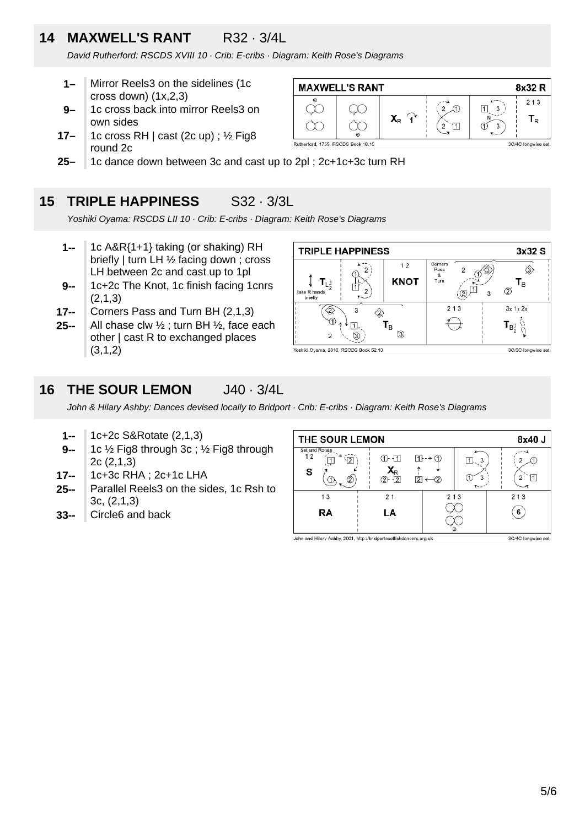### **14 MAXWELL'S RANT** R32 · 3/4L

David Rutherford: RSCDS XVIII 10 · Crib: E-cribs · Diagram: Keith Rose's Diagrams

- **1–** Mirror Reels3 on the sidelines (1c cross down)  $(1x,2,3)$
- **9–** 1c cross back into mirror Reels3 on own sides
- **17–** 1c cross RH  $\vert$  cast (2c up) ;  $\frac{1}{2}$  Fig8 round 2c
- **25–** 1c dance down between 3c and cast up to 2pl ; 2c+1c+3c turn RH

### **15 TRIPLE HAPPINESS** S32 · 3/3L

Yoshiki Oyama: RSCDS LII 10 · Crib: E-cribs · Diagram: Keith Rose's Diagrams

- **1--** 1c A&R{1+1} taking (or shaking) RH briefly | turn LH ½ facing down ; cross LH between 2c and cast up to 1pl
- **9--** 1c+2c The Knot, 1c finish facing 1cnrs (2,1,3)
- **17--** Corners Pass and Turn BH (2,1,3)
- **25--** All chase clw  $\frac{1}{2}$ ; turn BH  $\frac{1}{2}$ , face each other | cast R to exchanged places (3,1,2)

| <b>TRIPLE HAPPINESS</b>               | 3x32 S |                   |                              |                          |
|---------------------------------------|--------|-------------------|------------------------------|--------------------------|
| LÎ,<br>take R hands<br>briefly        |        | 12<br><b>KNOT</b> | Corners<br>Pass<br>8<br>Turn | Τв<br>21                 |
| 3<br>$\circled{1}$<br>ΙB.<br>3        |        |                   | 213                          | $3x$ 1 $x$ 2 $x$<br>l Bi |
| Yoshiki Oyama, 2016, RSCDS Book 52.10 |        |                   |                              | 3C/3C longwise set.      |

#### **16 THE SOUR LEMON** J40 · 3/4L

John & Hilary Ashby: Dances devised locally to Bridport · Crib: E-cribs · Diagram: Keith Rose's Diagrams

- **1--** 1c+2c S&Rotate (2,1,3)
- **9--** 1c ½ Fig8 through 3c ; ½ Fig8 through 2c (2,1,3)
- **17--** 1c+3c RHA ; 2c+1c LHA
- **25--** Parallel Reels3 on the sides, 1c Rsh to 3c, (2,1,3)
- **33--** Circle6 and back

| Set and Rotate<br>12<br>$1 - \rightarrow 0$<br>ብን ብገ<br>'12<br>3<br>11 L<br>$\mathbf{Y}_{\mathsf{R}}$<br>s<br>11.<br>3<br>2<br>$\overline{2}$<br>12<br>2<br>$\overline{\mathbf{y}}$<br>213<br>213<br>13<br>21<br>RA<br>LA<br>6<br>◉ | THE SOUR LEMON | 8x40 J |  |  |
|-------------------------------------------------------------------------------------------------------------------------------------------------------------------------------------------------------------------------------------|----------------|--------|--|--|
|                                                                                                                                                                                                                                     |                |        |  |  |
|                                                                                                                                                                                                                                     |                |        |  |  |
|                                                                                                                                                                                                                                     |                |        |  |  |